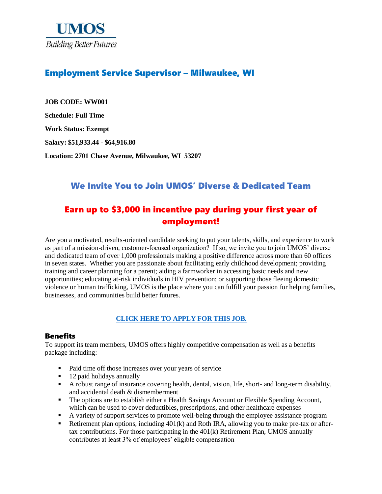

# Employment Service Supervisor – Milwaukee, WI

**JOB CODE: WW001 Schedule: Full Time Work Status: Exempt Salary: \$51,933.44 - \$64,916.80 Location: 2701 Chase Avenue, Milwaukee, WI 53207**

# We Invite You to Join UMOS' Diverse & Dedicated Team

# Earn up to \$3,000 in incentive pay during your first year of employment!

Are you a motivated, results-oriented candidate seeking to put your talents, skills, and experience to work as part of a mission-driven, customer-focused organization? If so, we invite you to join UMOS' diverse and dedicated team of over 1,000 professionals making a positive difference across more than 60 offices in seven states. Whether you are passionate about facilitating early childhood development; providing training and career planning for a parent; aiding a farmworker in accessing basic needs and new opportunities; educating at-risk individuals in HIV prevention; or supporting those fleeing domestic violence or human trafficking, UMOS is the place where you can fulfill your passion for helping families, businesses, and communities build better futures.

### **[CLICK HERE TO APPLY FOR THIS JOB.](https://www.umos.org/job-application/)**

#### Benefits

To support its team members, UMOS offers highly competitive compensation as well as a benefits package including:

- Paid time off those increases over your years of service
- 12 paid holidays annually
- A robust range of insurance covering health, dental, vision, life, short- and long-term disability, and accidental death & dismemberment
- The options are to establish either a Health Savings Account or Flexible Spending Account, which can be used to cover deductibles, prescriptions, and other healthcare expenses
- A variety of support services to promote well-being through the employee assistance program
- Extirement plan options, including  $401(k)$  and Roth IRA, allowing you to make pre-tax or aftertax contributions. For those participating in the 401(k) Retirement Plan, UMOS annually contributes at least 3% of employees' eligible compensation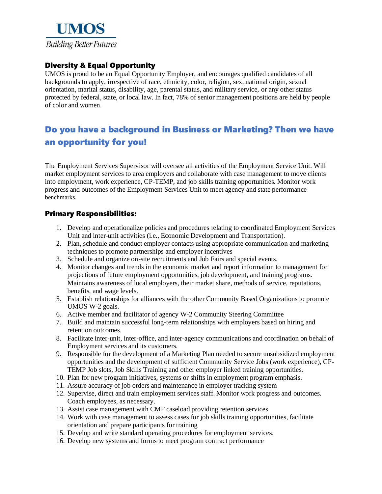

## Diversity & Equal Opportunity

UMOS is proud to be an Equal Opportunity Employer, and encourages qualified candidates of all backgrounds to apply, irrespective of race, ethnicity, color, religion, sex, national origin, sexual orientation, marital status, disability, age, parental status, and military service, or any other status protected by federal, state, or local law. In fact, 78% of senior management positions are held by people of color and women.

# Do you have a background in Business or Marketing? Then we have an opportunity for you!

The Employment Services Supervisor will oversee all activities of the Employment Service Unit. Will market employment services to area employers and collaborate with case management to move clients into employment, work experience, CP-TEMP, and job skills training opportunities. Monitor work progress and outcomes of the Employment Services Unit to meet agency and state performance benchmarks.

### Primary Responsibilities:

- 1. Develop and operationalize policies and procedures relating to coordinated Employment Services Unit and inter-unit activities (i.e., Economic Development and Transportation).
- 2. Plan, schedule and conduct employer contacts using appropriate communication and marketing techniques to promote partnerships and employer incentives
- 3. Schedule and organize on-site recruitments and Job Fairs and special events.
- 4. Monitor changes and trends in the economic market and report information to management for projections of future employment opportunities, job development, and training programs. Maintains awareness of local employers, their market share, methods of service, reputations, benefits, and wage levels.
- 5. Establish relationships for alliances with the other Community Based Organizations to promote UMOS W-2 goals.
- 6. Active member and facilitator of agency W-2 Community Steering Committee
- 7. Build and maintain successful long-term relationships with employers based on hiring and retention outcomes.
- 8. Facilitate inter-unit, inter-office, and inter-agency communications and coordination on behalf of Employment services and its customers.
- 9. Responsible for the development of a Marketing Plan needed to secure unsubsidized employment opportunities and the development of sufficient Community Service Jobs (work experience), CP-TEMP Job slots, Job Skills Training and other employer linked training opportunities.
- 10. Plan for new program initiatives, systems or shifts in employment program emphasis.
- 11. Assure accuracy of job orders and maintenance in employer tracking system
- 12. Supervise, direct and train employment services staff. Monitor work progress and outcomes. Coach employees, as necessary.
- 13. Assist case management with CMF caseload providing retention services
- 14. Work with case management to assess cases for job skills training opportunities, facilitate orientation and prepare participants for training
- 15. Develop and write standard operating procedures for employment services.
- 16. Develop new systems and forms to meet program contract performance